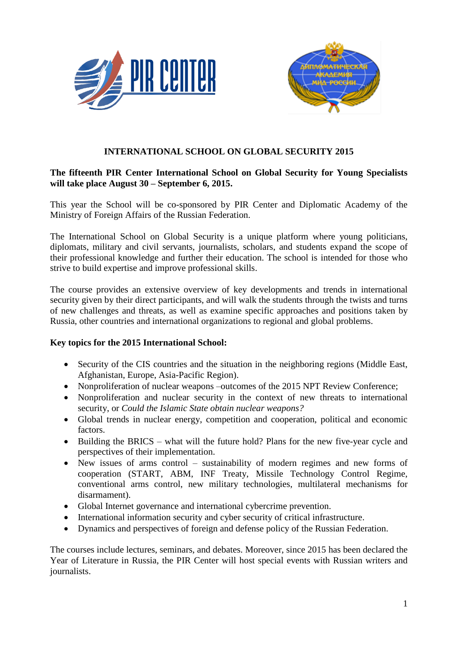



# **INTERNATIONAL SCHOOL ON GLOBAL SECURITY 2015**

# **The fifteenth PIR Center International School on Global Security for Young Specialists will take place August 30 – September 6, 2015.**

This year the School will be co-sponsored by PIR Center and Diplomatic Academy of the Ministry of Foreign Affairs of the Russian Federation.

The International School on Global Security is a unique platform where young politicians, diplomats, military and civil servants, journalists, scholars, and students expand the scope of their professional knowledge and further their education. The school is intended for those who strive to build expertise and improve professional skills.

The course provides an extensive overview of key developments and trends in international security given by their direct participants, and will walk the students through the twists and turns of new challenges and threats, as well as examine specific approaches and positions taken by Russia, other countries and international organizations to regional and global problems.

### **Key topics for the 2015 International School:**

- Security of the CIS countries and the situation in the neighboring regions (Middle East, Afghanistan, Europe, Asia-Pacific Region).
- Nonproliferation of nuclear weapons –outcomes of the 2015 NPT Review Conference;
- Nonproliferation and nuclear security in the context of new threats to international security, or *Could the Islamic State obtain nuclear weapons?*
- Global trends in nuclear energy, competition and cooperation, political and economic factors.
- Building the BRICS what will the future hold? Plans for the new five-year cycle and perspectives of their implementation.
- New issues of arms control sustainability of modern regimes and new forms of cooperation (START, ABM, INF Treaty, Missile Technology Control Regime, conventional arms control, new military technologies, multilateral mechanisms for disarmament).
- Global Internet governance and international cybercrime prevention.
- International information security and cyber security of critical infrastructure.
- Dynamics and perspectives of foreign and defense policy of the Russian Federation.

The courses include lectures, seminars, and debates. Moreover, since 2015 has been declared the Year of Literature in Russia, the PIR Center will host special events with Russian writers and journalists.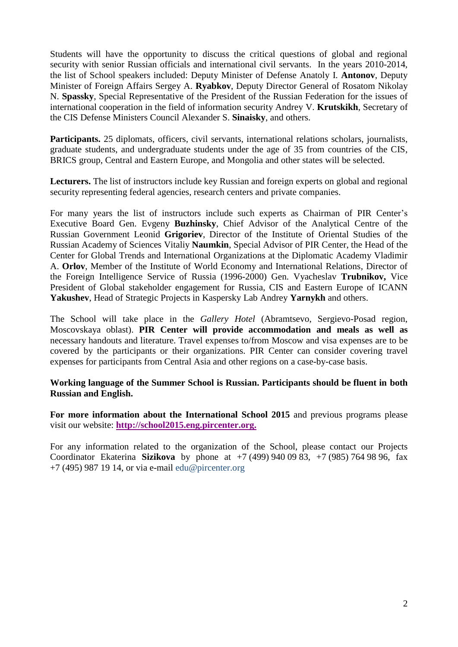Students will have the opportunity to discuss the critical questions of global and regional security with senior Russian officials and international civil servants. In the years 2010-2014, the list of School speakers included: Deputy Minister of Defense Anatoly I. **Antonov**, Deputy Minister of Foreign Affairs Sergey A. **Ryabkov**, Deputy Director General of Rosatom Nikolay N. **Spassky**, Special Representative of the President of the Russian Federation for the issues of international cooperation in the field of information security Andrey V. **Krutskikh**, Secretary of the CIS Defense Ministers Council Alexander S. **Sinaisky**, and others.

**Participants.** 25 diplomats, officers, civil servants, international relations scholars, journalists, graduate students, and undergraduate students under the age of 35 from countries of the CIS, BRICS group, Central and Eastern Europe, and Mongolia and other states will be selected.

**Lecturers.** The list of instructors include key Russian and foreign experts on global and regional security representing federal agencies, research centers and private companies.

For many years the list of instructors include such experts as Chairman of PIR Center's Executive Board Gen. Evgeny **Buzhinsky**, Chief Advisor of the Analytical Centre of the Russian Government Leonid **Grigoriev**, Director of the Institute of Oriental Studies of the Russian Academy of Sciences Vitaliy **Naumkin**, Special Advisor of PIR Center, the Head of the Center for Global Trends and International Organizations at the Diplomatic Academy Vladimir A. **Orlov**, Member of the Institute of World Economy and International Relations, Director of the Foreign Intelligence Service of Russia (1996-2000) Gen. Vyacheslav **Trubnikov,** Vice President of Global stakeholder engagement for Russia, CIS and Eastern Europe of ICANN **Yakushev**, Head of Strategic Projects in Kaspersky Lab Andrey **Yarnykh** and others.

The School will take place in the *Gallery Hotel* (Abramtsevo, Sergievo-Posad region, Moscovskaya oblast). **PIR Center will provide accommodation and meals as well as** necessary handouts and literature. Travel expenses to/from Moscow and visa expenses are to be covered by the participants or their organizations. PIR Center can consider covering travel expenses for participants from Central Asia and other regions on a case-by-case basis.

### **Working language of the Summer School is Russian. Participants should be fluent in both Russian and English.**

**For more information about the International School 2015** and previous programs please visit our website: **[http://school2015.eng.pircenter.org.](http://school2015.eng.pircenter.org/)**

For any information related to the organization of the School, please contact our Projects Coordinator Ekaterina **Sizikova** by phone at +7 (499) 940 09 83, +7 (985) 764 98 96, fax  $+7$  (495) 987 19 14, or via e-mail [edu@pircenter.org](mailto:edu@pircenter.org)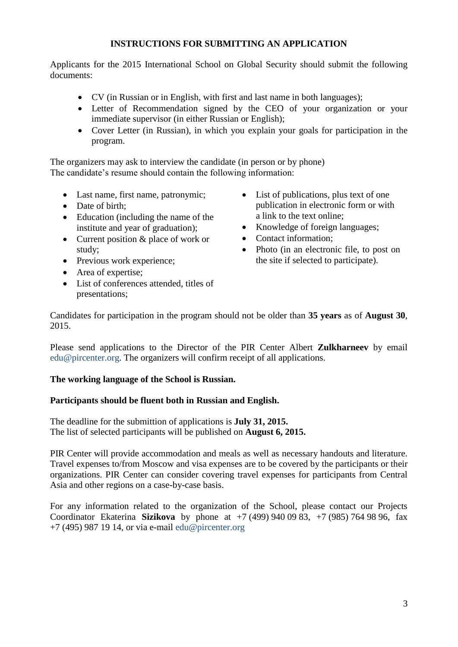# **INSTRUCTIONS FOR SUBMITTING AN APPLICATION**

Applicants for the 2015 International School on Global Security should submit the following documents:

- CV (in Russian or in English, with first and last name in both languages);
- Letter of Recommendation signed by the CEO of your organization or your immediate supervisor (in either Russian or English);
- Cover Letter (in Russian), in which you explain your goals for participation in the program.

The organizers may ask to interview the candidate (in person or by phone) The candidate's resume should contain the following information:

- Last name, first name, patronymic;
- Date of birth;
- Education (including the name of the institute and year of graduation);
- Current position & place of work or study;
- Previous work experience;
- Area of expertise;
- List of conferences attended, titles of presentations;
- List of publications, plus text of one publication in electronic form or with a link to the text online;
- Knowledge of foreign languages;
- Contact information;
- Photo (in an electronic file, to post on the site if selected to participate).

Candidates for participation in the program should not be older than **35 years** as of **August 30**, 2015.

Please send applications to the Director of the PIR Center Albert **Zulkharneev** by email [edu@pircenter.org.](mailto:edu@pircenter.org) The organizers will confirm receipt of all applications.

# **The working language of the School is Russian.**

# **Participants should be fluent both in Russian and English.**

The deadline for the submittion of applications is **July 31, 2015.** The list of selected participants will be published on **August 6, 2015.**

PIR Center will provide accommodation and meals as well as necessary handouts and literature. Travel expenses to/from Moscow and visa expenses are to be covered by the participants or their organizations. PIR Center can consider covering travel expenses for participants from Central Asia and other regions on a case-by-case basis.

For any information related to the organization of the School, please contact our Projects Coordinator Ekaterina **Sizikova** by phone at +7 (499) 940 09 83, +7 (985) 764 98 96, fax  $+7$  (495) 987 19 14, or via e-mail [edu@pircenter.org](mailto:edu@pircenter.org)